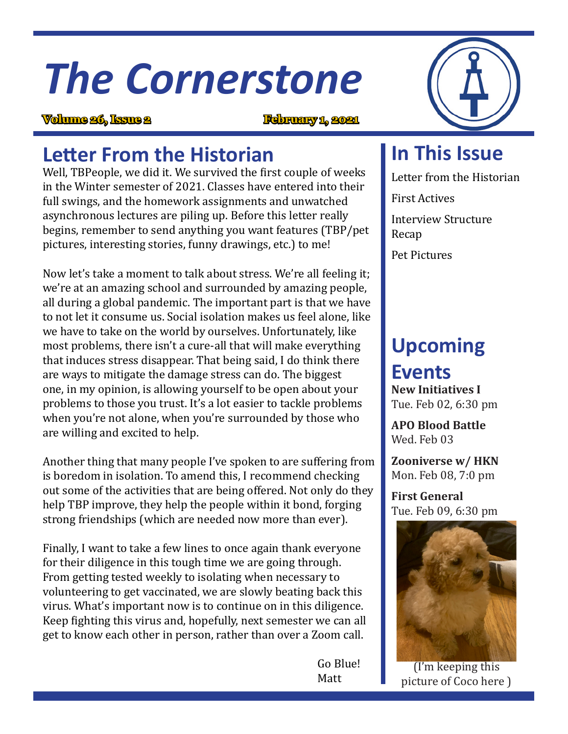# *The Cornerstone*

**Volume 26, Issue 2 February 1, 2021**

## **Letter From the Historian**

Well, TBPeople, we did it. We survived the first couple of weeks in the Winter semester of 2021. Classes have entered into their full swings, and the homework assignments and unwatched asynchronous lectures are piling up. Before this letter really begins, remember to send anything you want features (TBP/pet pictures, interesting stories, funny drawings, etc.) to me!

Now let's take a moment to talk about stress. We're all feeling it; we're at an amazing school and surrounded by amazing people, all during a global pandemic. The important part is that we have to not let it consume us. Social isolation makes us feel alone, like we have to take on the world by ourselves. Unfortunately, like most problems, there isn't a cure-all that will make everything that induces stress disappear. That being said, I do think there are ways to mitigate the damage stress can do. The biggest one, in my opinion, is allowing yourself to be open about your problems to those you trust. It's a lot easier to tackle problems when you're not alone, when you're surrounded by those who are willing and excited to help.

Another thing that many people I've spoken to are suffering from is boredom in isolation. To amend this, I recommend checking out some of the activities that are being offered. Not only do they help TBP improve, they help the people within it bond, forging strong friendships (which are needed now more than ever).

Finally, I want to take a few lines to once again thank everyone for their diligence in this tough time we are going through. From getting tested weekly to isolating when necessary to volunteering to get vaccinated, we are slowly beating back this virus. What's important now is to continue on in this diligence. Keep fighting this virus and, hopefully, next semester we can all get to know each other in person, rather than over a Zoom call.

 Go Blue! Matt



### **In This Issue**

Letter from the Historian

First Actives

Interview Structure Recap

Pet Pictures

# **Upcoming**

## **Events**

**New Initiatives I** Tue. Feb 02, 6:30 pm

**APO Blood Battle** Wed. Feb 03

**Zooniverse w/ HKN** Mon. Feb 08, 7:0 pm

**First General** Tue. Feb 09, 6:30 pm



(I'm keeping this picture of Coco here )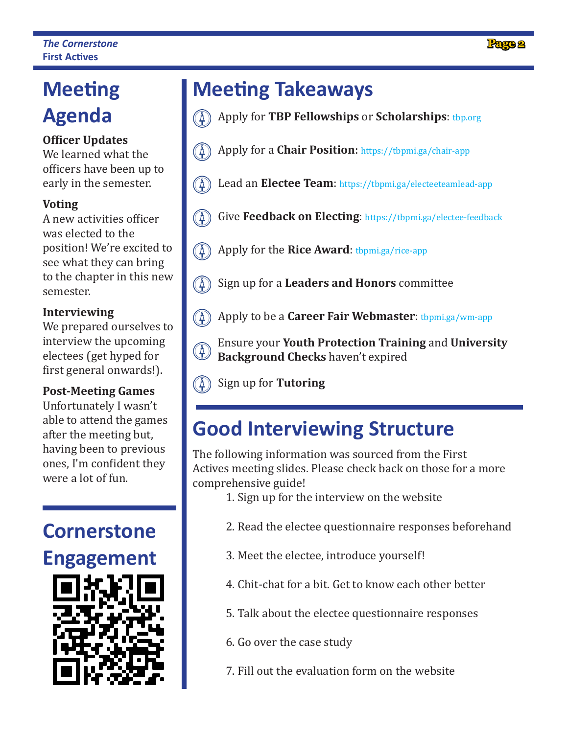# **Agenda**

#### **Officer Updates**

We learned what the officers have been up to early in the semester.

#### **Voting**

A new activities officer was elected to the position! We're excited to see what they can bring to the chapter in this new semester.

#### **Interviewing**

We prepared ourselves to interview the upcoming electees (get hyped for first general onwards!).

#### **Post-Meeting Games**

Unfortunately I wasn't able to attend the games after the meeting but, having been to previous ones, I'm confident they were a lot of fun.

### **Cornerstone Engagement**



# **Meeting Meeting Takeaways**

- Apply for **TBP Fellowships** or **Scholarships**: tbp.org
- $\circled{A}$ Apply for a **Chair Position**: https://tbpmi.ga/chair-app
- $\left(\begin{smallmatrix} 1 \ 4 \end{smallmatrix}\right)$ Lead an **Electee Team**: https://tbpmi.ga/electeeteamlead-app
- $\binom{4}{5}$ Give **Feedback on Electing**: https://tbpmi.ga/electee-feedback
- $(\mathbb{A})$ Apply for the **Rice Award**: tbpmi.ga/rice-app
- $(\AA)$ Sign up for a **Leaders and Honors** committee
- $(\mathbb{A})$ Apply to be a **Career Fair Webmaster**: tbpmi.ga/wm-app
- Ensure your **Youth Protection Training** and **University**  $(\AA)$ **Background Checks** haven't expired
- $(\texttt{\AA})$ Sign up for **Tutoring**

## **Good Interviewing Structure**

The following information was sourced from the First Actives meeting slides. Please check back on those for a more comprehensive guide!

- 1. Sign up for the interview on the website
- 2. Read the electee questionnaire responses beforehand
- 3. Meet the electee, introduce yourself!
- 4. Chit-chat for a bit. Get to know each other better
- 5. Talk about the electee questionnaire responses
- 6. Go over the case study
- 7. Fill out the evaluation form on the website